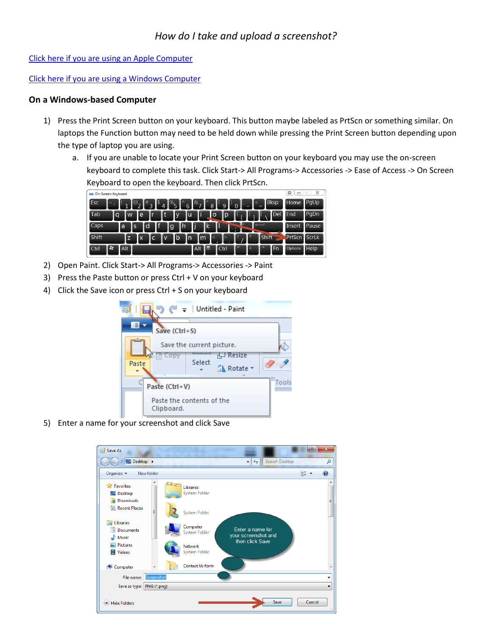[Click here if you are using an Apple Computer](#page-2-0)

[Click here if you are using a Windows Computer](#page-0-0)

## <span id="page-0-0"></span>**On a Windows-based Computer**

- 1) Press the Print Screen button on your keyboard. This button maybe labeled as PrtScn or something similar. On laptops the Function button may need to be held down while pressing the Print Screen button depending upon the type of laptop you are using.
	- a. If you are unable to locate your Print Screen button on your keyboard you may use the on-screen keyboard to complete this task. Click Start-> All Programs-> Accessories -> Ease of Access -> On Screen Keyboard to open the keyboard. Then click PrtScn.

| On-Screen Keyboard                                                                                                                                                  | G<br>$\equiv$ | 23<br>$\Box$      |
|---------------------------------------------------------------------------------------------------------------------------------------------------------------------|---------------|-------------------|
| <b>Bksp</b><br>$\mathbb{R}^2$<br>Esc<br>115<br>1#<br>∥@<br>$\%$ -<br>$\overline{6}$<br>$\overline{\phantom{0}}$<br>9<br>8<br>$\Omega$<br>$\blacksquare$<br>$=$<br>- | Home          | llegUp            |
| <b>T</b> Del<br>ľ<br>Tab<br>l t<br>llu<br>۵F<br>le<br>1p.<br>l o<br>Ш<br>$\mathsf{W}$<br>la<br>IУ                                                                   | End           | <b>PgDn</b>       |
| ۱f<br>ľh<br>ıl<br>Ιk<br>$\Box$ Caps<br>ld<br>ш<br>l g<br>la<br>ls<br><b>IE</b>                                                                                      | Insert        | Pause             |
| Shift<br>T<br>Shift<br>۱b<br>l m<br>$\mathsf{In}$<br>ПC<br>l V<br>z<br>l X                                                                                          | PrtScn        | ScrLk             |
| 冒<br>159<br>lFn<br><b>Alt</b><br><b>Alt</b><br><b>Ctrl</b><br>Ctrl                                                                                                  | Options       | $\mathbb{H}$ Help |

- 2) Open Paint. Click Start-> All Programs-> Accessories -> Paint
- 3) Press the Paste button or press Ctrl + V on your keyboard
- 4) Click the Save icon or press Ctrl + S on your keyboard

| $C_0$                     |                                         |        | $\bullet$ $\downarrow$ Untitled - Paint |       |  |
|---------------------------|-----------------------------------------|--------|-----------------------------------------|-------|--|
|                           | Save (Ctrl+S)                           |        |                                         |       |  |
| Save the current picture. |                                         |        |                                         |       |  |
| Paste                     | Copy                                    | Select | Resize<br>ᆗ<br>Rotate -                 |       |  |
| Paste (Ctrl+V)            |                                         |        |                                         | Tools |  |
|                           | Paste the contents of the<br>Clipboard. |        |                                         |       |  |

5) Enter a name for your screenshot and click Save

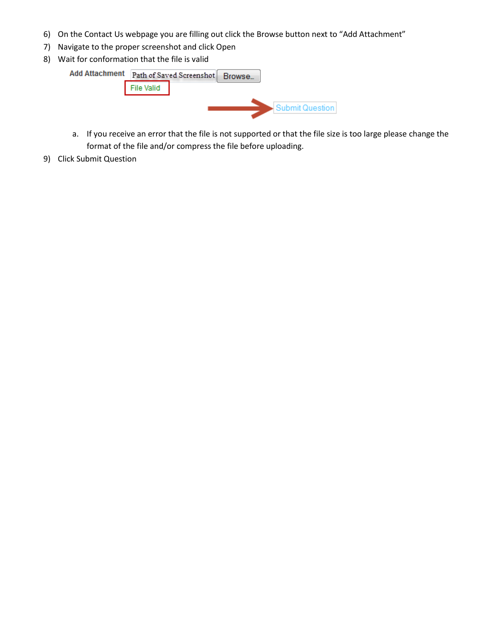- 6) On the Contact Us webpage you are filling out click the Browse button next to "Add Attachment"
- 7) Navigate to the proper screenshot and click Open
- 8) Wait for conformation that the file is valid



- a. If you receive an error that the file is not supported or that the file size is too large please change the format of the file and/or compress the file before uploading.
- 9) Click Submit Question